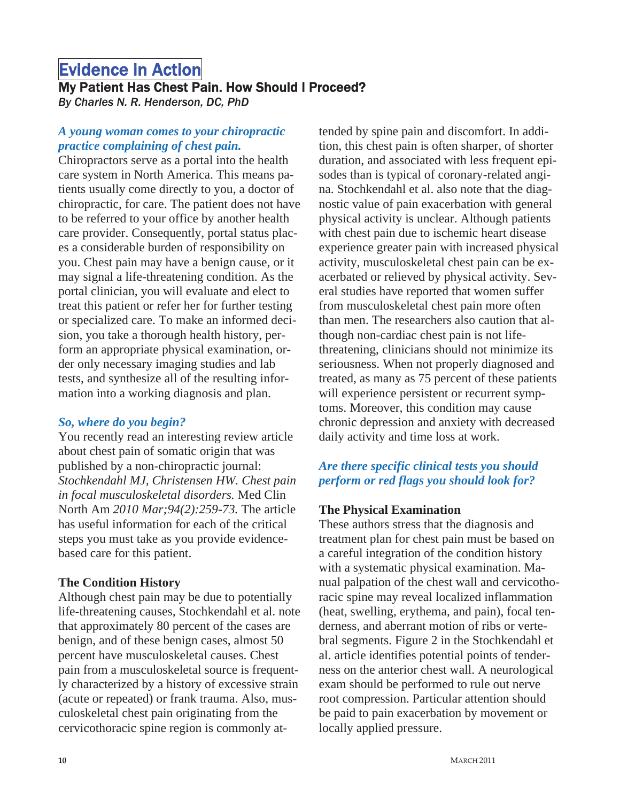# **Evidence in Action Milliph**<br>My Patient Has Chest Pain. How Should I Proceed?

*By Charles N. R. Henderson, DC, PhD* 

#### *A young woman comes to your chiropractic practice complaining of chest pain.*

Chiropractors serve as a portal into the health care system in North America. This means patients usually come directly to you, a doctor of chiropractic, for care. The patient does not have to be referred to your office by another health care provider. Consequently, portal status places a considerable burden of responsibility on you. Chest pain may have a benign cause, or it may signal a life-threatening condition. As the portal clinician, you will evaluate and elect to treat this patient or refer her for further testing or specialized care. To make an informed decision, you take a thorough health history, perform an appropriate physical examination, order only necessary imaging studies and lab tests, and synthesize all of the resulting information into a working diagnosis and plan.

#### *So, where do you begin?*

You recently read an interesting review article about chest pain of somatic origin that was published by a non-chiropractic journal: *Stochkendahl MJ, Christensen HW. Chest pain in focal musculoskeletal disorders.* Med Clin North Am *2010 Mar;94(2):259-73.* The article has useful information for each of the critical steps you must take as you provide evidencebased care for this patient.

#### **The Condition History**

Although chest pain may be due to potentially life-threatening causes, Stochkendahl et al. note that approximately 80 percent of the cases are benign, and of these benign cases, almost 50 percent have musculoskeletal causes. Chest pain from a musculoskeletal source is frequently characterized by a history of excessive strain (acute or repeated) or frank trauma. Also, musculoskeletal chest pain originating from the cervicothoracic spine region is commonly attended by spine pain and discomfort. In addition, this chest pain is often sharper, of shorter duration, and associated with less frequent episodes than is typical of coronary-related angina. Stochkendahl et al. also note that the diagnostic value of pain exacerbation with general physical activity is unclear. Although patients with chest pain due to ischemic heart disease experience greater pain with increased physical activity, musculoskeletal chest pain can be exacerbated or relieved by physical activity. Several studies have reported that women suffer from musculoskeletal chest pain more often than men. The researchers also caution that although non-cardiac chest pain is not lifethreatening, clinicians should not minimize its seriousness. When not properly diagnosed and treated, as many as 75 percent of these patients will experience persistent or recurrent symptoms. Moreover, this condition may cause chronic depression and anxiety with decreased daily activity and time loss at work.

# *Are there specific clinical tests you should perform or red flags you should look for?*

#### **The Physical Examination**

These authors stress that the diagnosis and treatment plan for chest pain must be based on a careful integration of the condition history with a systematic physical examination. Manual palpation of the chest wall and cervicothoracic spine may reveal localized inflammation (heat, swelling, erythema, and pain), focal tenderness, and aberrant motion of ribs or vertebral segments. Figure 2 in the Stochkendahl et al. article identifies potential points of tenderness on the anterior chest wall. A neurological exam should be performed to rule out nerve root compression. Particular attention should be paid to pain exacerbation by movement or locally applied pressure.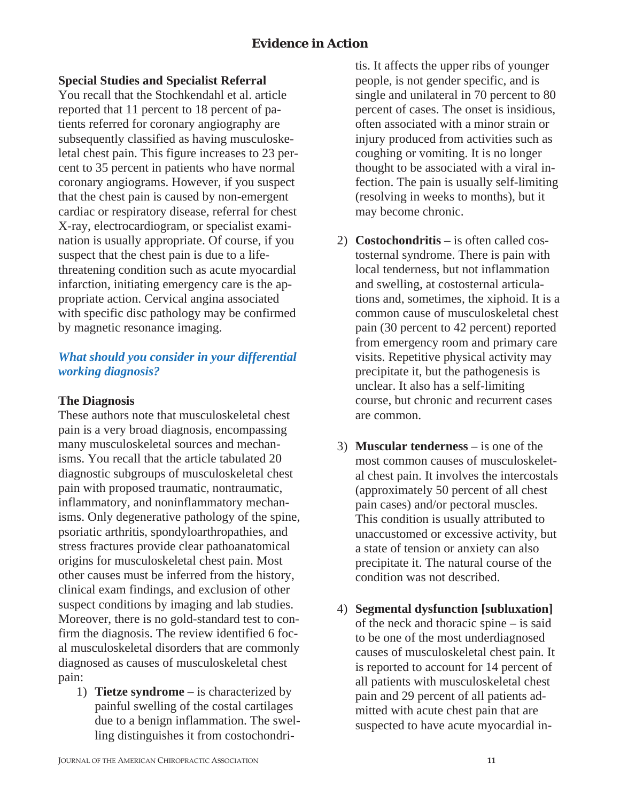# **Special Studies and Specialist Referral**

You recall that the Stochkendahl et al. article reported that 11 percent to 18 percent of patients referred for coronary angiography are subsequently classified as having musculoskeletal chest pain. This figure increases to 23 percent to 35 percent in patients who have normal coronary angiograms. However, if you suspect that the chest pain is caused by non-emergent cardiac or respiratory disease, referral for chest X-ray, electrocardiogram, or specialist examination is usually appropriate. Of course, if you suspect that the chest pain is due to a lifethreatening condition such as acute myocardial infarction, initiating emergency care is the appropriate action. Cervical angina associated with specific disc pathology may be confirmed by magnetic resonance imaging.

# *What should you consider in your differential working diagnosis?*

#### **The Diagnosis**

These authors note that musculoskeletal chest pain is a very broad diagnosis, encompassing many musculoskeletal sources and mechanisms. You recall that the article tabulated 20 diagnostic subgroups of musculoskeletal chest pain with proposed traumatic, nontraumatic, inflammatory, and noninflammatory mechanisms. Only degenerative pathology of the spine, psoriatic arthritis, spondyloarthropathies, and stress fractures provide clear pathoanatomical origins for musculoskeletal chest pain. Most other causes must be inferred from the history, clinical exam findings, and exclusion of other suspect conditions by imaging and lab studies. Moreover, there is no gold-standard test to confirm the diagnosis. The review identified 6 focal musculoskeletal disorders that are commonly diagnosed as causes of musculoskeletal chest pain:

1) **Tietze syndrome** – is characterized by painful swelling of the costal cartilages due to a benign inflammation. The swelling distinguishes it from costochondritis. It affects the upper ribs of younger people, is not gender specific, and is single and unilateral in 70 percent to 80 percent of cases. The onset is insidious, often associated with a minor strain or injury produced from activities such as coughing or vomiting. It is no longer thought to be associated with a viral infection. The pain is usually self-limiting (resolving in weeks to months), but it may become chronic.

- 2) **Costochondritis** is often called costosternal syndrome. There is pain with local tenderness, but not inflammation and swelling, at costosternal articulations and, sometimes, the xiphoid. It is a common cause of musculoskeletal chest pain (30 percent to 42 percent) reported from emergency room and primary care visits. Repetitive physical activity may precipitate it, but the pathogenesis is unclear. It also has a self-limiting course, but chronic and recurrent cases are common.
- 3) **Muscular tenderness** is one of the most common causes of musculoskeletal chest pain. It involves the intercostals (approximately 50 percent of all chest pain cases) and/or pectoral muscles. This condition is usually attributed to unaccustomed or excessive activity, but a state of tension or anxiety can also precipitate it. The natural course of the condition was not described.
- 4) **Segmental dysfunction [subluxation]** of the neck and thoracic spine – is said to be one of the most underdiagnosed causes of musculoskeletal chest pain. It is reported to account for 14 percent of all patients with musculoskeletal chest pain and 29 percent of all patients admitted with acute chest pain that are suspected to have acute myocardial in-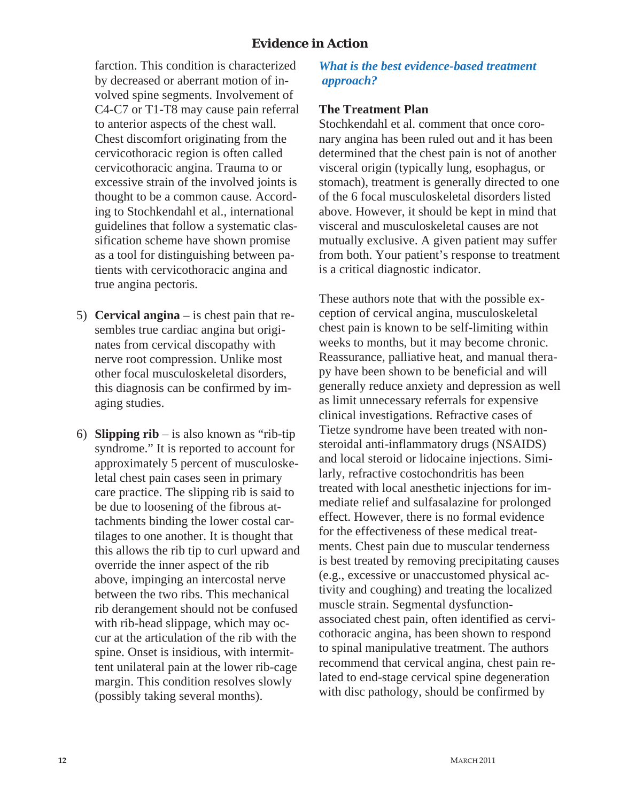## **Evidence in Action**

farction. This condition is characterized by decreased or aberrant motion of involved spine segments. Involvement of C4-C7 or T1-T8 may cause pain referral to anterior aspects of the chest wall. Chest discomfort originating from the cervicothoracic region is often called cervicothoracic angina. Trauma to or excessive strain of the involved joints is thought to be a common cause. According to Stochkendahl et al., international guidelines that follow a systematic classification scheme have shown promise as a tool for distinguishing between patients with cervicothoracic angina and true angina pectoris.

- 5) **Cervical angina** is chest pain that resembles true cardiac angina but originates from cervical discopathy with nerve root compression. Unlike most other focal musculoskeletal disorders, this diagnosis can be confirmed by imaging studies.
- 6) **Slipping rib** is also known as "rib-tip syndrome." It is reported to account for approximately 5 percent of musculoskeletal chest pain cases seen in primary care practice. The slipping rib is said to be due to loosening of the fibrous attachments binding the lower costal cartilages to one another. It is thought that this allows the rib tip to curl upward and override the inner aspect of the rib above, impinging an intercostal nerve between the two ribs. This mechanical rib derangement should not be confused with rib-head slippage, which may occur at the articulation of the rib with the spine. Onset is insidious, with intermittent unilateral pain at the lower rib-cage margin. This condition resolves slowly (possibly taking several months).

*What is the best evidence-based treatment approach?* 

#### **The Treatment Plan**

Stochkendahl et al. comment that once coronary angina has been ruled out and it has been determined that the chest pain is not of another visceral origin (typically lung, esophagus, or stomach), treatment is generally directed to one of the 6 focal musculoskeletal disorders listed above. However, it should be kept in mind that visceral and musculoskeletal causes are not mutually exclusive. A given patient may suffer from both. Your patient's response to treatment is a critical diagnostic indicator.

These authors note that with the possible exception of cervical angina, musculoskeletal chest pain is known to be self-limiting within weeks to months, but it may become chronic. Reassurance, palliative heat, and manual therapy have been shown to be beneficial and will generally reduce anxiety and depression as well as limit unnecessary referrals for expensive clinical investigations. Refractive cases of Tietze syndrome have been treated with nonsteroidal anti-inflammatory drugs (NSAIDS) and local steroid or lidocaine injections. Similarly, refractive costochondritis has been treated with local anesthetic injections for immediate relief and sulfasalazine for prolonged effect. However, there is no formal evidence for the effectiveness of these medical treatments. Chest pain due to muscular tenderness is best treated by removing precipitating causes (e.g., excessive or unaccustomed physical activity and coughing) and treating the localized muscle strain. Segmental dysfunctionassociated chest pain, often identified as cervicothoracic angina, has been shown to respond to spinal manipulative treatment. The authors recommend that cervical angina, chest pain related to end-stage cervical spine degeneration with disc pathology, should be confirmed by